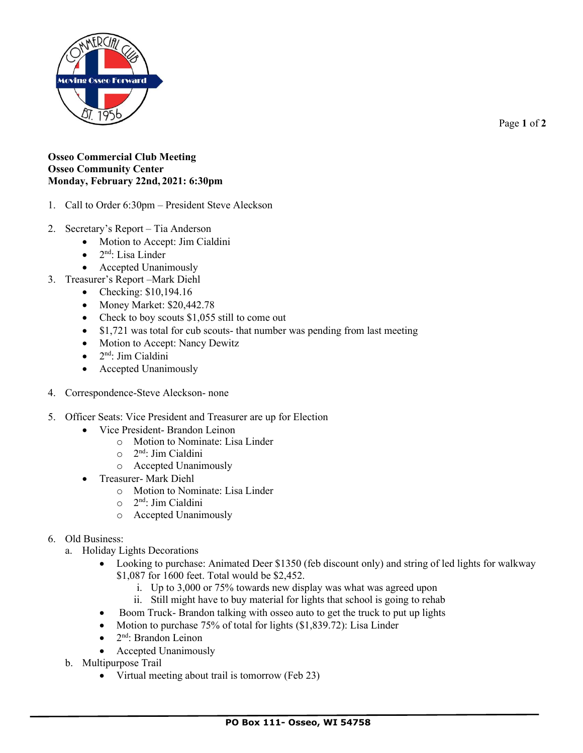

Page **1** of **2**

## **Osseo Commercial Club Meeting Osseo Community Center Monday, February 22nd, 2021: 6:30pm**

- 1. Call to Order 6:30pm President Steve Aleckson
- 2. Secretary's Report Tia Anderson
	- Motion to Accept: Jim Cialdini
	- $\bullet$  2<sup>nd</sup>: Lisa Linder
	- Accepted Unanimously
- 3. Treasurer's Report –Mark Diehl
	- Checking: \$10,194.16
	- Money Market: \$20,442.78
	- Check to boy scouts \$1,055 still to come out
	- \$1,721 was total for cub scouts- that number was pending from last meeting
	- Motion to Accept: Nancy Dewitz
	- 2<sup>nd</sup>: Jim Cialdini
	- Accepted Unanimously
- 4. Correspondence-Steve Aleckson- none
- 5. Officer Seats: Vice President and Treasurer are up for Election
	- Vice President- Brandon Leinon
		- o Motion to Nominate: Lisa Linder
		- o 2 nd: Jim Cialdini
		- o Accepted Unanimously
	- Treasurer- Mark Diehl
		- o Motion to Nominate: Lisa Linder
		- o 2 nd: Jim Cialdini
		- o Accepted Unanimously

## 6. Old Business:

- a. Holiday Lights Decorations
	- Looking to purchase: Animated Deer \$1350 (feb discount only) and string of led lights for walkway \$1,087 for 1600 feet. Total would be \$2,452.
		- i. Up to 3,000 or 75% towards new display was what was agreed upon
		- ii. Still might have to buy material for lights that school is going to rehab
	- Boom Truck-Brandon talking with osseo auto to get the truck to put up lights
	- Motion to purchase 75% of total for lights (\$1,839.72): Lisa Linder
	- 2<sup>nd</sup>: Brandon Leinon
	- Accepted Unanimously
- b. Multipurpose Trail
	- Virtual meeting about trail is tomorrow (Feb 23)